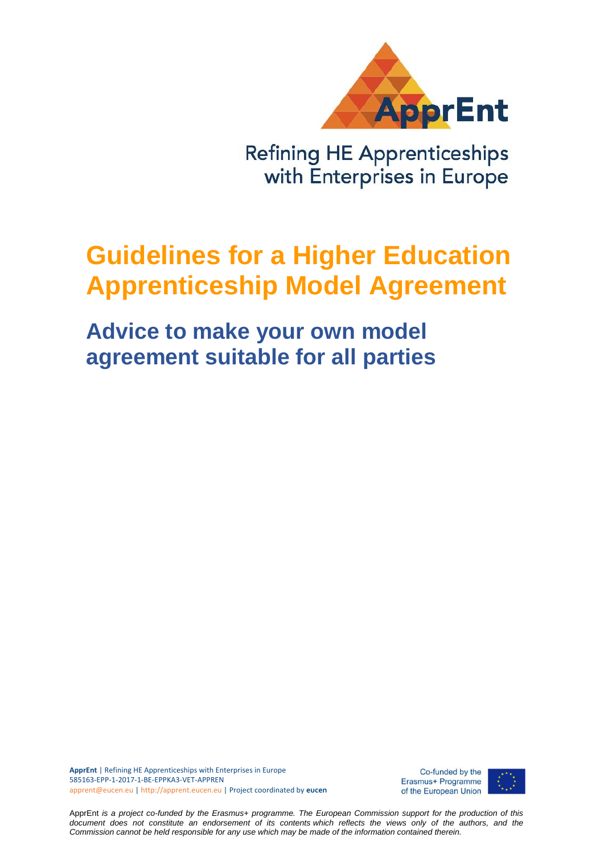

**Refining HE Apprenticeships** with Enterprises in Europe

# **Guidelines for a Higher Education Apprenticeship Model Agreement**

**Advice to make your own model agreement suitable for all parties**

**ApprEnt** | Refining HE Apprenticeships with Enterprises in Europe 585163-EPP-1-2017-1-BE-EPPKA3-VET-APPREN apprent@eucen.eu | http://apprent.eucen.eu | Project coordinated by **eucen**

Co-funded by the Erasmus+ Programme of the European Union



ApprEnt *is a project co-funded by the Erasmus+ programme. The European Commission support for the production of this document does not constitute an endorsement of its contents which reflects the views only of the authors, and the Commission cannot be held responsible for any use which may be made of the information contained therein.*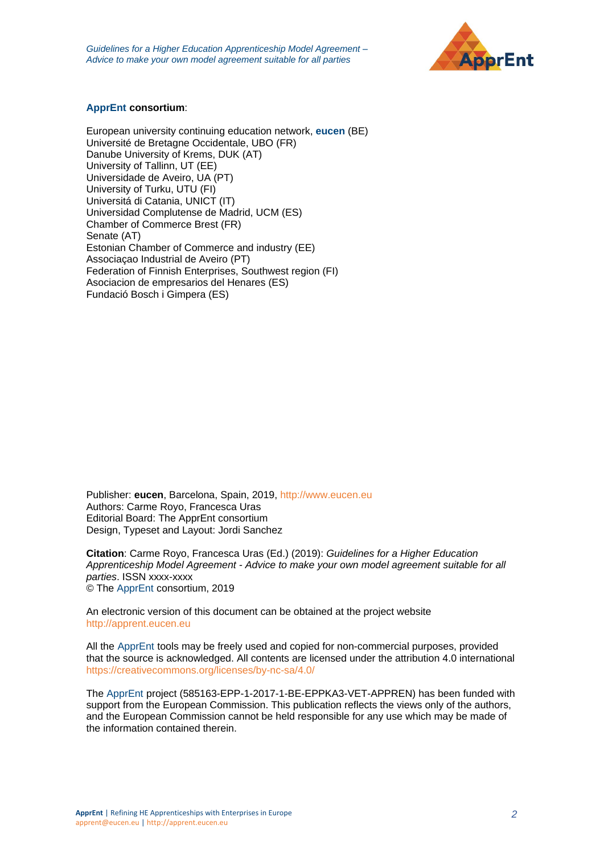

#### **ApprEnt consortium**:

European university continuing education network, **eucen** (BE) Université de Bretagne Occidentale, UBO (FR) Danube University of Krems, DUK (AT) University of Tallinn, UT (EE) Universidade de Aveiro, UA (PT) University of Turku, UTU (FI) Universitá di Catania, UNICT (IT) Universidad Complutense de Madrid, UCM (ES) Chamber of Commerce Brest (FR) Senate (AT) Estonian Chamber of Commerce and industry (EE) Associaçao Industrial de Aveiro (PT) Federation of Finnish Enterprises, Southwest region (FI) Asociacion de empresarios del Henares (ES) Fundació Bosch i Gimpera (ES)

Publisher: **eucen**, Barcelona, Spain, 2019, [http://www.eucen.eu](http://www.eucen.eu/) Authors: Carme Royo, Francesca Uras Editorial Board: The ApprEnt consortium Design, Typeset and Layout: Jordi Sanchez

**Citation**: Carme Royo, Francesca Uras (Ed.) (2019): *Guidelines for a Higher Education Apprenticeship Model Agreement - Advice to make your own model agreement suitable for all parties*. ISSN xxxx-xxxx © The ApprEnt consortium, 2019

An electronic version of this document can be obtained at the project website [http://apprent.eucen.eu](http://apprent.eucen.eu/)

All the ApprEnt tools may be freely used and copied for non-commercial purposes, provided that the source is acknowledged. All contents are licensed under the attribution 4.0 international <https://creativecommons.org/licenses/by-nc-sa/4.0/>

The ApprEnt project (585163-EPP-1-2017-1-BE-EPPKA3-VET-APPREN) has been funded with support from the European Commission. This publication reflects the views only of the authors, and the European Commission cannot be held responsible for any use which may be made of the information contained therein.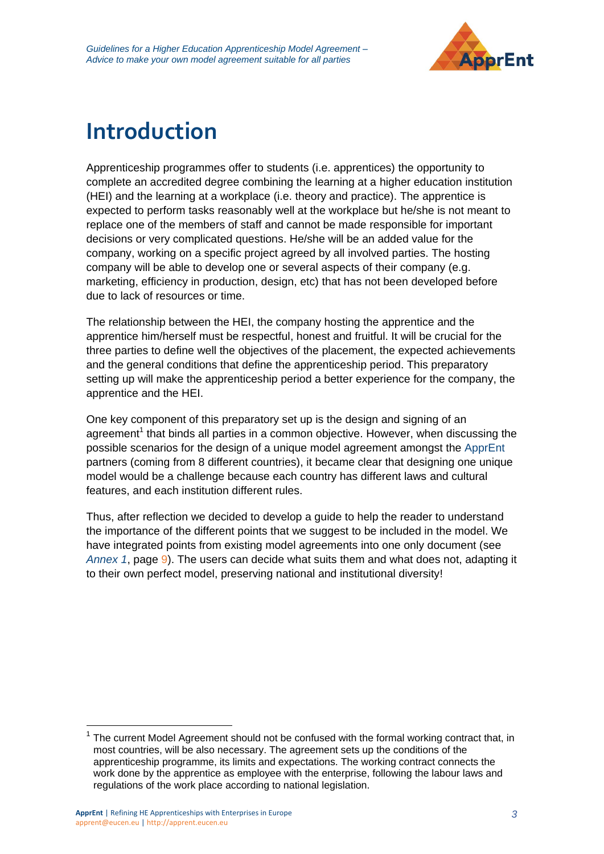

# **Introduction**

Apprenticeship programmes offer to students (i.e. apprentices) the opportunity to complete an accredited degree combining the learning at a higher education institution (HEI) and the learning at a workplace (i.e. theory and practice). The apprentice is expected to perform tasks reasonably well at the workplace but he/she is not meant to replace one of the members of staff and cannot be made responsible for important decisions or very complicated questions. He/she will be an added value for the company, working on a specific project agreed by all involved parties. The hosting company will be able to develop one or several aspects of their company (e.g. marketing, efficiency in production, design, etc) that has not been developed before due to lack of resources or time.

The relationship between the HEI, the company hosting the apprentice and the apprentice him/herself must be respectful, honest and fruitful. It will be crucial for the three parties to define well the objectives of the placement, the expected achievements and the general conditions that define the apprenticeship period. This preparatory setting up will make the apprenticeship period a better experience for the company, the apprentice and the HEI.

One key component of this preparatory set up is the design and signing of an agreement<sup>1</sup> that binds all parties in a common objective. However, when discussing the possible scenarios for the design of a unique model agreement amongst the ApprEnt partners (coming from 8 different countries), it became clear that designing one unique model would be a challenge because each country has different laws and cultural features, and each institution different rules.

Thus, after reflection we decided to develop a guide to help the reader to understand the importance of the different points that we suggest to be included in the model. We have integrated points from existing model agreements into one only document (see *Annex 1*, page [9\)](#page-8-0). The users can decide what suits them and what does not, adapting it to their own perfect model, preserving national and institutional diversity!

 $\overline{a}$ 

<sup>1</sup> The current Model Agreement should not be confused with the formal working contract that, in most countries, will be also necessary. The agreement sets up the conditions of the apprenticeship programme, its limits and expectations. The working contract connects the work done by the apprentice as employee with the enterprise, following the labour laws and regulations of the work place according to national legislation.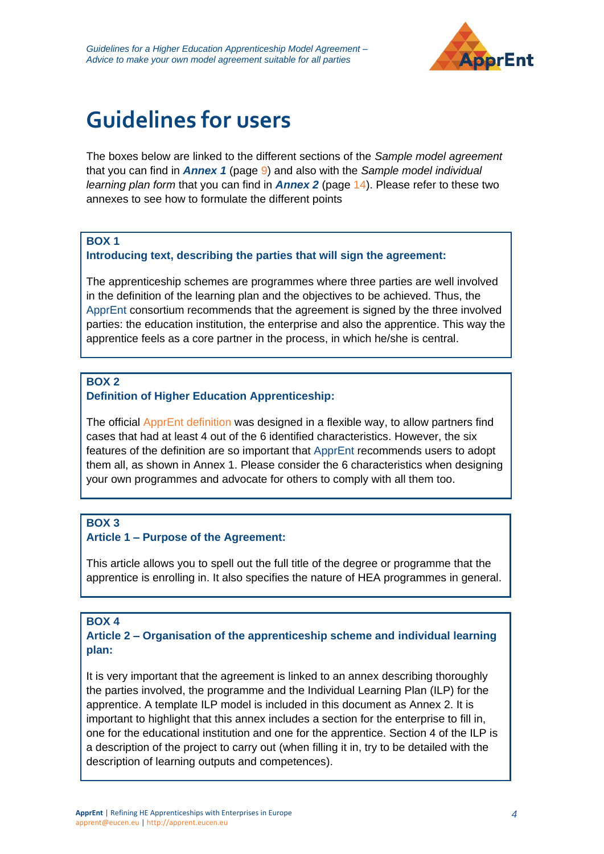

# **Guidelines for users**

The boxes below are linked to the different sections of the *Sample model agreement* that you can find in *Annex 1* (page [9\)](#page-8-0) and also with the *Sample model individual learning plan form* that you can find in *Annex 2* (page [14\)](#page-13-0). Please refer to these two annexes to see how to formulate the different points

#### **BOX 1**

#### **Introducing text, describing the parties that will sign the agreement:**

The apprenticeship schemes are programmes where three parties are well involved in the definition of the learning plan and the objectives to be achieved. Thus, the ApprEnt consortium recommends that the agreement is signed by the three involved parties: the education institution, the enterprise and also the apprentice. This way the apprentice feels as a core partner in the process, in which he/she is central.

### **BOX 2**

### **Definition of Higher Education Apprenticeship:**

The official [ApprEnt definition](https://apprent.eucen.eu/definition/) was designed in a flexible way, to allow partners find cases that had at least 4 out of the 6 identified characteristics. However, the six features of the definition are so important that ApprEnt recommends users to adopt them all, as shown in Annex 1. Please consider the 6 characteristics when designing your own programmes and advocate for others to comply with all them too.

## **BOX 3**

#### **Article 1 – Purpose of the Agreement:**

This article allows you to spell out the full title of the degree or programme that the apprentice is enrolling in. It also specifies the nature of HEA programmes in general.

#### **BOX 4**

#### **Article 2 – Organisation of the apprenticeship scheme and individual learning plan:**

It is very important that the agreement is linked to an annex describing thoroughly the parties involved, the programme and the Individual Learning Plan (ILP) for the apprentice. A template ILP model is included in this document as Annex 2. It is important to highlight that this annex includes a section for the enterprise to fill in, one for the educational institution and one for the apprentice. Section 4 of the ILP is a description of the project to carry out (when filling it in, try to be detailed with the description of learning outputs and competences).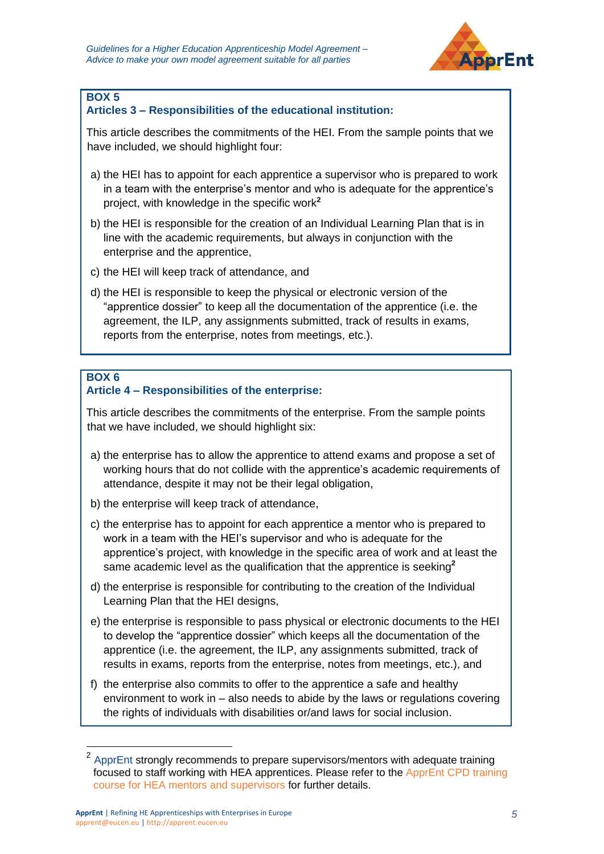

#### **Articles 3 – Responsibilities of the educational institution:**

This article describes the commitments of the HEI. From the sample points that we have included, we should highlight four:

- a) the HEI has to appoint for each apprentice a supervisor who is prepared to work in a team with the enterprise's mentor and who is adequate for the apprentice's project, with knowledge in the specific work**<sup>2</sup>**
- b) the HEI is responsible for the creation of an Individual Learning Plan that is in line with the academic requirements, but always in conjunction with the enterprise and the apprentice,
- c) the HEI will keep track of attendance, and
- d) the HEI is responsible to keep the physical or electronic version of the "apprentice dossier" to keep all the documentation of the apprentice (i.e. the agreement, the ILP, any assignments submitted, track of results in exams, reports from the enterprise, notes from meetings, etc.).

#### **BOX 6**

#### **Article 4 – Responsibilities of the enterprise:**

This article describes the commitments of the enterprise. From the sample points that we have included, we should highlight six:

- a) the enterprise has to allow the apprentice to attend exams and propose a set of working hours that do not collide with the apprentice's academic requirements of attendance, despite it may not be their legal obligation,
- b) the enterprise will keep track of attendance,
- c) the enterprise has to appoint for each apprentice a mentor who is prepared to work in a team with the HEI's supervisor and who is adequate for the apprentice's project, with knowledge in the specific area of work and at least the same academic level as the qualification that the apprentice is seeking**<sup>2</sup>**
- d) the enterprise is responsible for contributing to the creation of the Individual Learning Plan that the HEI designs,
- e) the enterprise is responsible to pass physical or electronic documents to the HEI to develop the "apprentice dossier" which keeps all the documentation of the apprentice (i.e. the agreement, the ILP, any assignments submitted, track of results in exams, reports from the enterprise, notes from meetings, etc.), and
- f) the enterprise also commits to offer to the apprentice a safe and healthy environment to work in – also needs to abide by the laws or regulations covering the rights of individuals with disabilities or/and laws for social inclusion.

 2 ApprEnt strongly recommends to prepare supervisors/mentors with adequate training focused to staff working with HEA apprentices. Please refer to the [ApprEnt CPD training](https://apprent.eucen.eu/prototype/)  [course for HEA mentors and supervisors](https://apprent.eucen.eu/prototype/) for further details.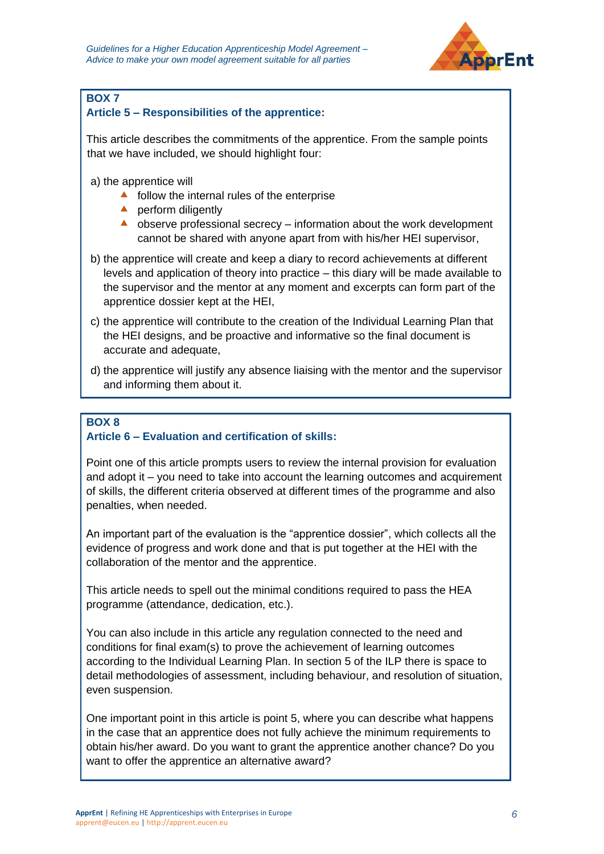

## **Article 5 – Responsibilities of the apprentice:**

This article describes the commitments of the apprentice. From the sample points that we have included, we should highlight four:

a) the apprentice will

- $\triangle$  follow the internal rules of the enterprise
- $\triangle$  perform diligently
- $\triangle$  observe professional secrecy information about the work development cannot be shared with anyone apart from with his/her HEI supervisor,
- b) the apprentice will create and keep a diary to record achievements at different levels and application of theory into practice – this diary will be made available to the supervisor and the mentor at any moment and excerpts can form part of the apprentice dossier kept at the HEI,
- c) the apprentice will contribute to the creation of the Individual Learning Plan that the HEI designs, and be proactive and informative so the final document is accurate and adequate,
- d) the apprentice will justify any absence liaising with the mentor and the supervisor and informing them about it.

## **BOX 8**

### **Article 6 – Evaluation and certification of skills:**

Point one of this article prompts users to review the internal provision for evaluation and adopt it – you need to take into account the learning outcomes and acquirement of skills, the different criteria observed at different times of the programme and also penalties, when needed.

An important part of the evaluation is the "apprentice dossier", which collects all the evidence of progress and work done and that is put together at the HEI with the collaboration of the mentor and the apprentice.

This article needs to spell out the minimal conditions required to pass the HEA programme (attendance, dedication, etc.).

You can also include in this article any regulation connected to the need and conditions for final exam(s) to prove the achievement of learning outcomes according to the Individual Learning Plan. In section 5 of the ILP there is space to detail methodologies of assessment, including behaviour, and resolution of situation, even suspension.

One important point in this article is point 5, where you can describe what happens in the case that an apprentice does not fully achieve the minimum requirements to obtain his/her award. Do you want to grant the apprentice another chance? Do you want to offer the apprentice an alternative award?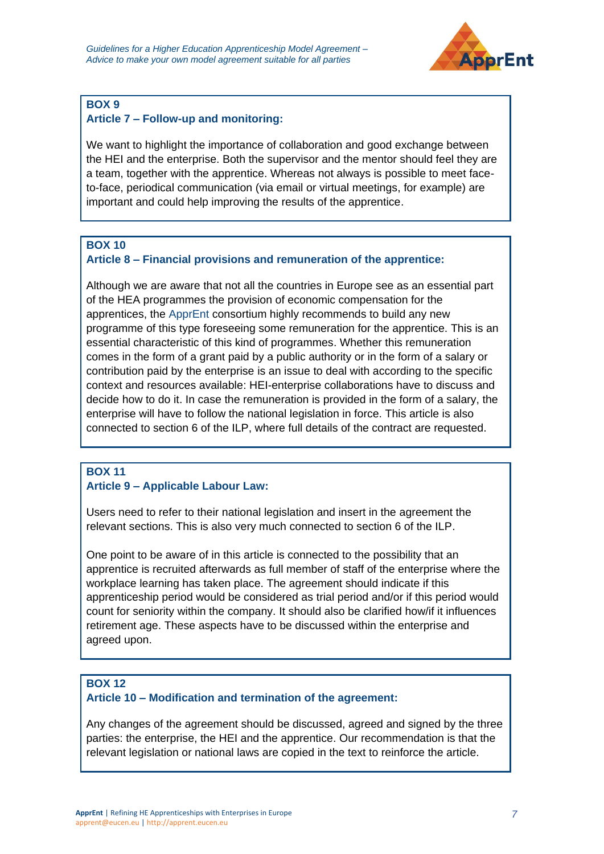

## **Article 7 – Follow-up and monitoring:**

We want to highlight the importance of collaboration and good exchange between the HEI and the enterprise. Both the supervisor and the mentor should feel they are a team, together with the apprentice. Whereas not always is possible to meet faceto-face, periodical communication (via email or virtual meetings, for example) are important and could help improving the results of the apprentice.

## **BOX 10**

### **Article 8 – Financial provisions and remuneration of the apprentice:**

Although we are aware that not all the countries in Europe see as an essential part of the HEA programmes the provision of economic compensation for the apprentices, the ApprEnt consortium highly recommends to build any new programme of this type foreseeing some remuneration for the apprentice. This is an essential characteristic of this kind of programmes. Whether this remuneration comes in the form of a grant paid by a public authority or in the form of a salary or contribution paid by the enterprise is an issue to deal with according to the specific context and resources available: HEI-enterprise collaborations have to discuss and decide how to do it. In case the remuneration is provided in the form of a salary, the enterprise will have to follow the national legislation in force. This article is also connected to section 6 of the ILP, where full details of the contract are requested.

### **BOX 11 Article 9 – Applicable Labour Law:**

Users need to refer to their national legislation and insert in the agreement the relevant sections. This is also very much connected to section 6 of the ILP.

One point to be aware of in this article is connected to the possibility that an apprentice is recruited afterwards as full member of staff of the enterprise where the workplace learning has taken place. The agreement should indicate if this apprenticeship period would be considered as trial period and/or if this period would count for seniority within the company. It should also be clarified how/if it influences retirement age. These aspects have to be discussed within the enterprise and agreed upon.

### **BOX 12**

### **Article 10 – Modification and termination of the agreement:**

Any changes of the agreement should be discussed, agreed and signed by the three parties: the enterprise, the HEI and the apprentice. Our recommendation is that the relevant legislation or national laws are copied in the text to reinforce the article.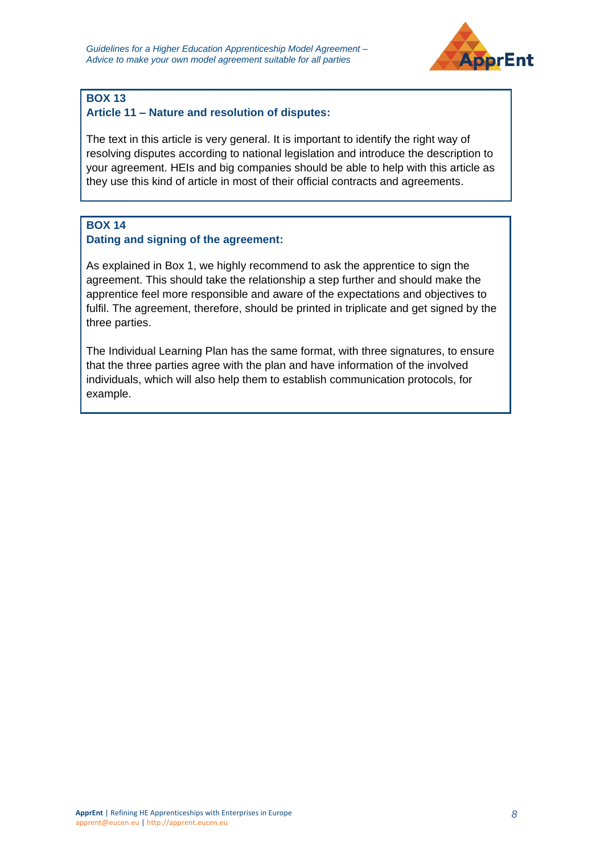

#### **Article 11 – Nature and resolution of disputes:**

The text in this article is very general. It is important to identify the right way of resolving disputes according to national legislation and introduce the description to your agreement. HEIs and big companies should be able to help with this article as they use this kind of article in most of their official contracts and agreements.

## **BOX 14**

#### **Dating and signing of the agreement:**

As explained in Box 1, we highly recommend to ask the apprentice to sign the agreement. This should take the relationship a step further and should make the apprentice feel more responsible and aware of the expectations and objectives to fulfil. The agreement, therefore, should be printed in triplicate and get signed by the three parties.

The Individual Learning Plan has the same format, with three signatures, to ensure that the three parties agree with the plan and have information of the involved individuals, which will also help them to establish communication protocols, for example.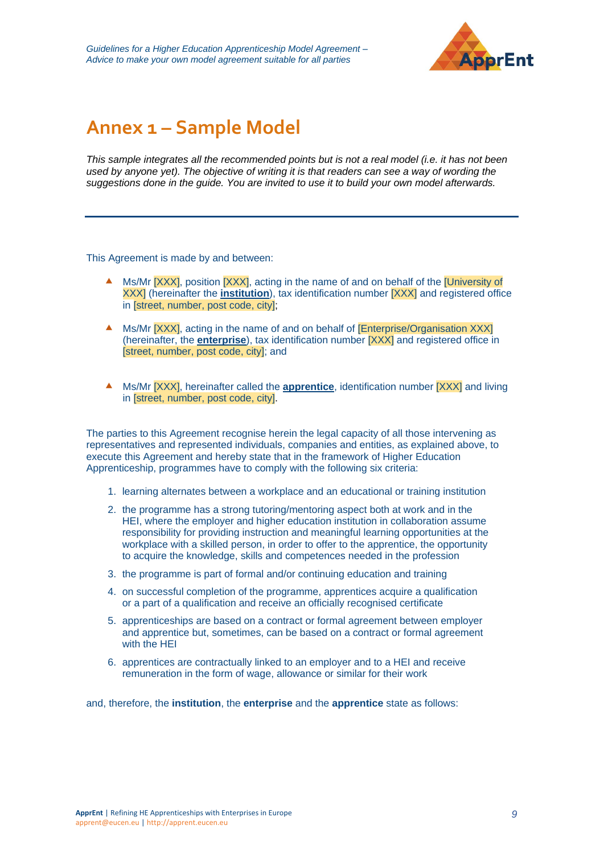

## <span id="page-8-0"></span>**Annex 1 – Sample Model**

*This sample integrates all the recommended points but is not a real model (i.e. it has not been used by anyone yet). The objective of writing it is that readers can see a way of wording the suggestions done in the guide. You are invited to use it to build your own model afterwards.*

This Agreement is made by and between:

- Ms/Mr [XXX], position [XXX], acting in the name of and on behalf of the [University of XXX] (hereinafter the **institution**), tax identification number [XXX] and registered office in [street, number, post code, city];
- A Ms/Mr **[XXXI**, acting in the name of and on behalf of **[Enterprise/Organisation XXX**] (hereinafter, the **enterprise**), tax identification number [XXX] and registered office in [street, number, post code, city]; and
- Ms/Mr [XXX], hereinafter called the **apprentice**, identification number [XXX] and living in [street, number, post code, city].

The parties to this Agreement recognise herein the legal capacity of all those intervening as representatives and represented individuals, companies and entities, as explained above, to execute this Agreement and hereby state that in the framework of Higher Education Apprenticeship, programmes have to comply with the following six criteria:

- 1. learning alternates between a workplace and an educational or training institution
- 2. the programme has a strong tutoring/mentoring aspect both at work and in the HEI, where the employer and higher education institution in collaboration assume responsibility for providing instruction and meaningful learning opportunities at the workplace with a skilled person, in order to offer to the apprentice, the opportunity to acquire the knowledge, skills and competences needed in the profession
- 3. the programme is part of formal and/or continuing education and training
- 4. on successful completion of the programme, apprentices acquire a qualification or a part of a qualification and receive an officially recognised certificate
- 5. apprenticeships are based on a contract or formal agreement between employer and apprentice but, sometimes, can be based on a contract or formal agreement with the HEI
- 6. apprentices are contractually linked to an employer and to a HEI and receive remuneration in the form of wage, allowance or similar for their work

and, therefore, the **institution**, the **enterprise** and the **apprentice** state as follows: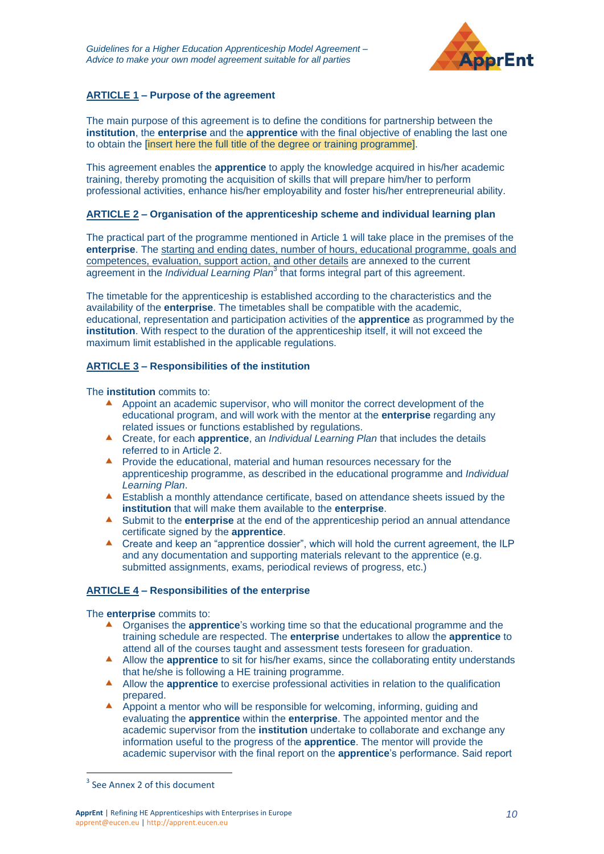

#### **ARTICLE 1 – Purpose of the agreement**

The main purpose of this agreement is to define the conditions for partnership between the **institution**, the **enterprise** and the **apprentice** with the final objective of enabling the last one to obtain the [insert here the full title of the degree or training programme].

This agreement enables the **apprentice** to apply the knowledge acquired in his/her academic training, thereby promoting the acquisition of skills that will prepare him/her to perform professional activities, enhance his/her employability and foster his/her entrepreneurial ability.

#### **ARTICLE 2 – Organisation of the apprenticeship scheme and individual learning plan**

The practical part of the programme mentioned in Article 1 will take place in the premises of the **enterprise**. The starting and ending dates, number of hours, educational programme, goals and competences, evaluation, support action, and other details are annexed to the current agreement in the *Individual Learning Plan*<sup>3</sup> that forms integral part of this agreement.

The timetable for the apprenticeship is established according to the characteristics and the availability of the **enterprise**. The timetables shall be compatible with the academic, educational, representation and participation activities of the **apprentice** as programmed by the **institution**. With respect to the duration of the apprenticeship itself, it will not exceed the maximum limit established in the applicable regulations.

#### **ARTICLE 3 – Responsibilities of the institution**

The **institution** commits to:

- A ppoint an academic supervisor, who will monitor the correct development of the educational program, and will work with the mentor at the **enterprise** regarding any related issues or functions established by regulations.
- Create, for each **apprentice**, an *Individual Learning Plan* that includes the details referred to in Article 2.
- **Provide the educational, material and human resources necessary for the** apprenticeship programme, as described in the educational programme and *Individual Learning Plan*.
- Establish a monthly attendance certificate, based on attendance sheets issued by the **institution** that will make them available to the **enterprise**.
- Submit to the **enterprise** at the end of the apprenticeship period an annual attendance certificate signed by the **apprentice**.
- ▲ Create and keep an "apprentice dossier", which will hold the current agreement, the ILP and any documentation and supporting materials relevant to the apprentice (e.g. submitted assignments, exams, periodical reviews of progress, etc.)

#### **ARTICLE 4 – Responsibilities of the enterprise**

The **enterprise** commits to:

- **A** Organises the **apprentice**'s working time so that the educational programme and the training schedule are respected. The **enterprise** undertakes to allow the **apprentice** to attend all of the courses taught and assessment tests foreseen for graduation.
- Allow the **apprentice** to sit for his/her exams, since the collaborating entity understands that he/she is following a HE training programme.
- Allow the **apprentice** to exercise professional activities in relation to the qualification prepared.
- A Appoint a mentor who will be responsible for welcoming, informing, guiding and evaluating the **apprentice** within the **enterprise**. The appointed mentor and the academic supervisor from the **institution** undertake to collaborate and exchange any information useful to the progress of the **apprentice**. The mentor will provide the academic supervisor with the final report on the **apprentice**'s performance. Said report

 $\overline{a}$ 

<sup>&</sup>lt;sup>3</sup> See Annex 2 of this document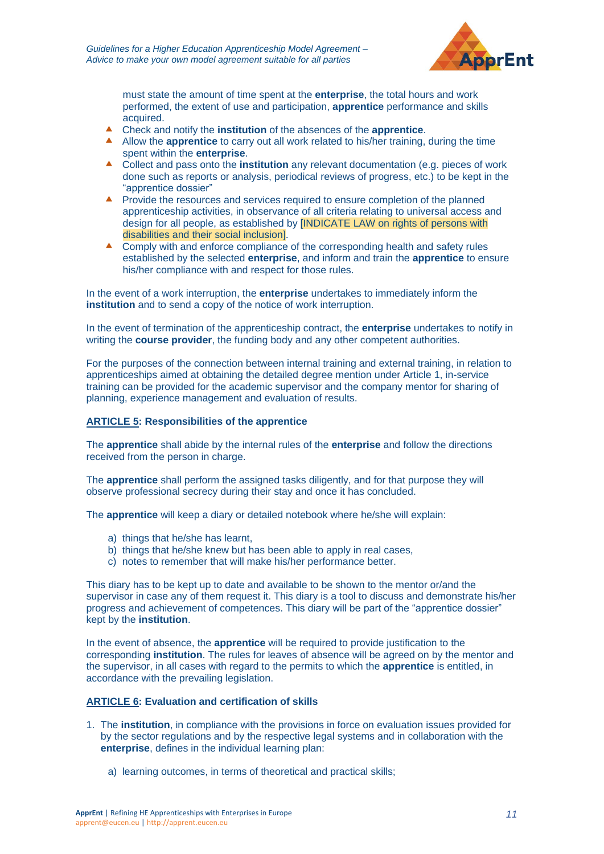

must state the amount of time spent at the **enterprise**, the total hours and work performed, the extent of use and participation, **apprentice** performance and skills acquired.

- Check and notify the **institution** of the absences of the **apprentice**.
- A Allow the **apprentice** to carry out all work related to his/her training, during the time spent within the **enterprise**.
- Collect and pass onto the **institution** any relevant documentation (e.g. pieces of work done such as reports or analysis, periodical reviews of progress, etc.) to be kept in the "apprentice dossier"
- **Provide the resources and services required to ensure completion of the planned** apprenticeship activities, in observance of all criteria relating to universal access and design for all people, as established by [INDICATE LAW on rights of persons with disabilities and their social inclusion].
- ▲ Comply with and enforce compliance of the corresponding health and safety rules established by the selected **enterprise**, and inform and train the **apprentice** to ensure his/her compliance with and respect for those rules.

In the event of a work interruption, the **enterprise** undertakes to immediately inform the **institution** and to send a copy of the notice of work interruption.

In the event of termination of the apprenticeship contract, the **enterprise** undertakes to notify in writing the **course provider**, the funding body and any other competent authorities.

For the purposes of the connection between internal training and external training, in relation to apprenticeships aimed at obtaining the detailed degree mention under Article 1, in-service training can be provided for the academic supervisor and the company mentor for sharing of planning, experience management and evaluation of results.

#### **ARTICLE 5: Responsibilities of the apprentice**

The **apprentice** shall abide by the internal rules of the **enterprise** and follow the directions received from the person in charge.

The **apprentice** shall perform the assigned tasks diligently, and for that purpose they will observe professional secrecy during their stay and once it has concluded.

The **apprentice** will keep a diary or detailed notebook where he/she will explain:

- a) things that he/she has learnt,
- b) things that he/she knew but has been able to apply in real cases,
- c) notes to remember that will make his/her performance better.

This diary has to be kept up to date and available to be shown to the mentor or/and the supervisor in case any of them request it. This diary is a tool to discuss and demonstrate his/her progress and achievement of competences. This diary will be part of the "apprentice dossier" kept by the **institution**.

In the event of absence, the **apprentice** will be required to provide justification to the corresponding **institution**. The rules for leaves of absence will be agreed on by the mentor and the supervisor, in all cases with regard to the permits to which the **apprentice** is entitled, in accordance with the prevailing legislation.

#### **ARTICLE 6: Evaluation and certification of skills**

- 1. The **institution**, in compliance with the provisions in force on evaluation issues provided for by the sector regulations and by the respective legal systems and in collaboration with the **enterprise**, defines in the individual learning plan:
	- a) learning outcomes, in terms of theoretical and practical skills;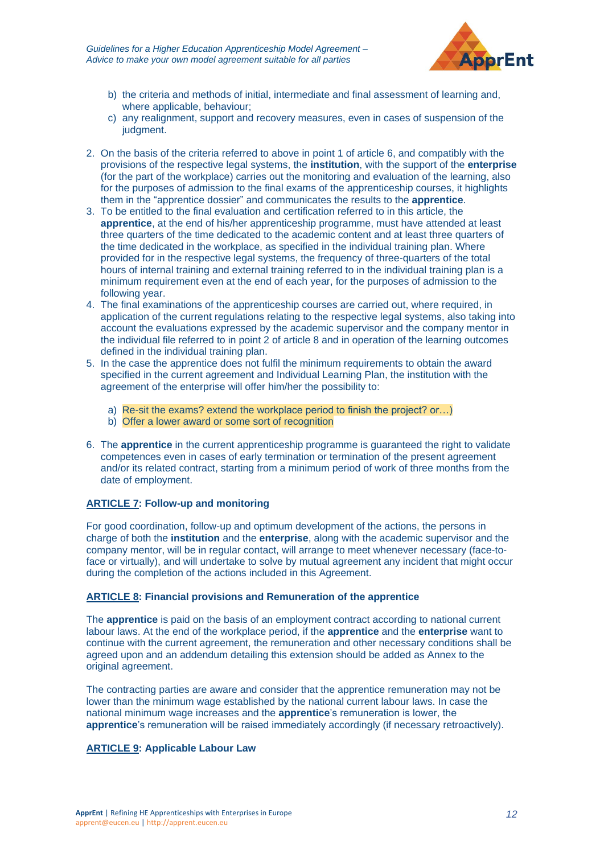

- b) the criteria and methods of initial, intermediate and final assessment of learning and, where applicable, behaviour;
- c) any realignment, support and recovery measures, even in cases of suspension of the judgment.
- 2. On the basis of the criteria referred to above in point 1 of article 6, and compatibly with the provisions of the respective legal systems, the **institution**, with the support of the **enterprise** (for the part of the workplace) carries out the monitoring and evaluation of the learning, also for the purposes of admission to the final exams of the apprenticeship courses, it highlights them in the "apprentice dossier" and communicates the results to the **apprentice**.
- 3. To be entitled to the final evaluation and certification referred to in this article, the **apprentice**, at the end of his/her apprenticeship programme, must have attended at least three quarters of the time dedicated to the academic content and at least three quarters of the time dedicated in the workplace, as specified in the individual training plan. Where provided for in the respective legal systems, the frequency of three-quarters of the total hours of internal training and external training referred to in the individual training plan is a minimum requirement even at the end of each year, for the purposes of admission to the following year.
- 4. The final examinations of the apprenticeship courses are carried out, where required, in application of the current regulations relating to the respective legal systems, also taking into account the evaluations expressed by the academic supervisor and the company mentor in the individual file referred to in point 2 of article 8 and in operation of the learning outcomes defined in the individual training plan.
- 5. In the case the apprentice does not fulfil the minimum requirements to obtain the award specified in the current agreement and Individual Learning Plan, the institution with the agreement of the enterprise will offer him/her the possibility to:
	- a) Re-sit the exams? extend the workplace period to finish the project? or…)
	- b) Offer a lower award or some sort of recognition
- 6. The **apprentice** in the current apprenticeship programme is guaranteed the right to validate competences even in cases of early termination or termination of the present agreement and/or its related contract, starting from a minimum period of work of three months from the date of employment.

#### **ARTICLE 7: Follow-up and monitoring**

For good coordination, follow-up and optimum development of the actions, the persons in charge of both the **institution** and the **enterprise**, along with the academic supervisor and the company mentor, will be in regular contact, will arrange to meet whenever necessary (face-toface or virtually), and will undertake to solve by mutual agreement any incident that might occur during the completion of the actions included in this Agreement.

#### **ARTICLE 8: Financial provisions and Remuneration of the apprentice**

The **apprentice** is paid on the basis of an employment contract according to national current labour laws. At the end of the workplace period, if the **apprentice** and the **enterprise** want to continue with the current agreement, the remuneration and other necessary conditions shall be agreed upon and an addendum detailing this extension should be added as Annex to the original agreement.

The contracting parties are aware and consider that the apprentice remuneration may not be lower than the minimum wage established by the national current labour laws. In case the national minimum wage increases and the **apprentice**'s remuneration is lower, the **apprentice**'s remuneration will be raised immediately accordingly (if necessary retroactively).

#### **ARTICLE 9: Applicable Labour Law**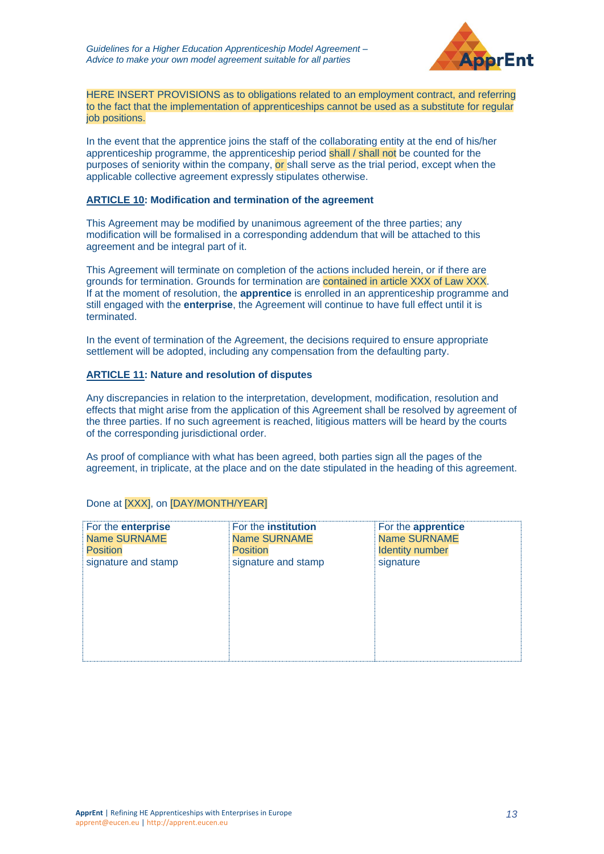

HERE INSERT PROVISIONS as to obligations related to an employment contract, and referring to the fact that the implementation of apprenticeships cannot be used as a substitute for regular iob positions.

In the event that the apprentice joins the staff of the collaborating entity at the end of his/her apprenticeship programme, the apprenticeship period shall / shall not be counted for the purposes of seniority within the company, or shall serve as the trial period, except when the applicable collective agreement expressly stipulates otherwise.

#### **ARTICLE 10: Modification and termination of the agreement**

This Agreement may be modified by unanimous agreement of the three parties; any modification will be formalised in a corresponding addendum that will be attached to this agreement and be integral part of it.

This Agreement will terminate on completion of the actions included herein, or if there are grounds for termination. Grounds for termination are contained in article XXX of Law XXX. If at the moment of resolution, the **apprentice** is enrolled in an apprenticeship programme and still engaged with the **enterprise**, the Agreement will continue to have full effect until it is terminated.

In the event of termination of the Agreement, the decisions required to ensure appropriate settlement will be adopted, including any compensation from the defaulting party.

#### **ARTICLE 11: Nature and resolution of disputes**

Any discrepancies in relation to the interpretation, development, modification, resolution and effects that might arise from the application of this Agreement shall be resolved by agreement of the three parties. If no such agreement is reached, litigious matters will be heard by the courts of the corresponding jurisdictional order.

As proof of compliance with what has been agreed, both parties sign all the pages of the agreement, in triplicate, at the place and on the date stipulated in the heading of this agreement.

| For the enterprise  | For the <b>institution</b> | For the <b>apprentice</b> |  |
|---------------------|----------------------------|---------------------------|--|
| <b>Name SURNAME</b> | <b>Name SURNAME</b>        | <b>Name SURNAME</b>       |  |
| <b>Position</b>     | <b>Position</b>            | <b>Identity number</b>    |  |
| signature and stamp | signature and stamp        | signature                 |  |
|                     |                            |                           |  |
|                     |                            |                           |  |
|                     |                            |                           |  |
|                     |                            |                           |  |
|                     |                            |                           |  |
|                     |                            |                           |  |
|                     |                            |                           |  |
|                     |                            |                           |  |

#### Done at [XXX], on [DAY/MONTH/YEAR]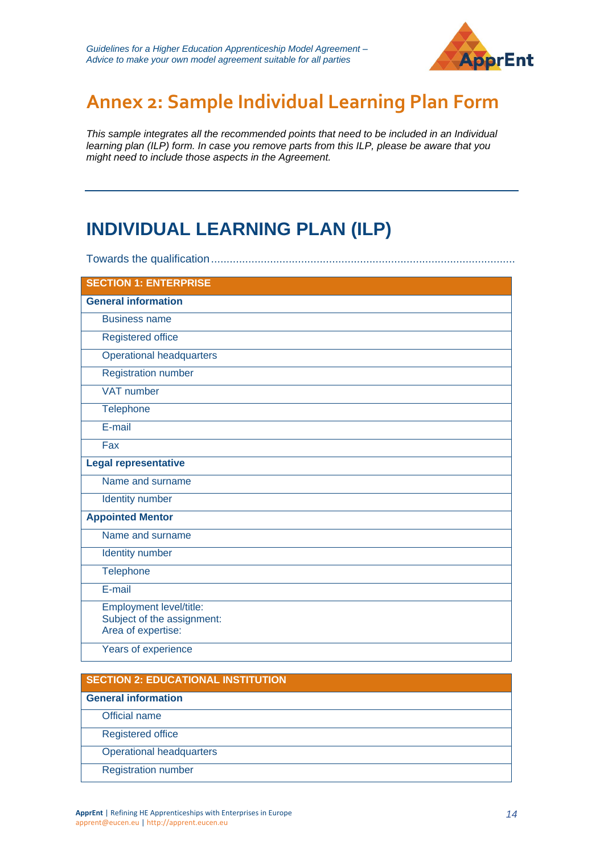

# <span id="page-13-0"></span>**Annex 2: Sample Individual Learning Plan Form**

*This sample integrates all the recommended points that need to be included in an Individual learning plan (ILP) form. In case you remove parts from this ILP, please be aware that you might need to include those aspects in the Agreement.*

## **INDIVIDUAL LEARNING PLAN (ILP)**

Towards the qualification.................................................................................................. **SECTION 1: ENTERPRISE General information**  Business name Registered office Operational headquarters Registration number VAT number **Telephone** E-mail Fax **Legal representative**  Name and surname Identity number **Appointed Mentor**  Name and surname Identity number **Telephone** E-mail Employment level/title: Subject of the assignment: Area of expertise: Years of experience

## **SECTION 2: EDUCATIONAL INSTITUTION General information**  Official name Registered office Operational headquarters Registration number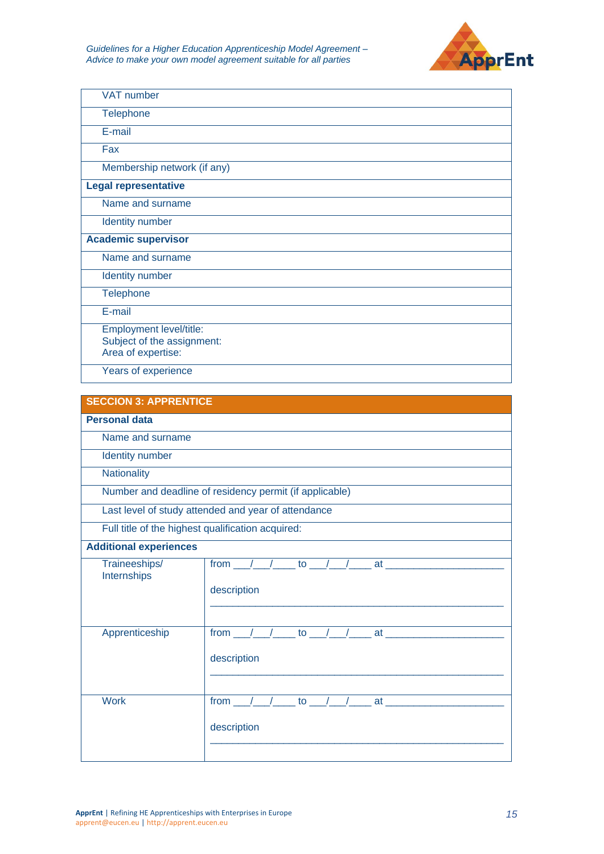

| <b>VAT number</b>                                |
|--------------------------------------------------|
| <b>Telephone</b>                                 |
| E-mail                                           |
| Fax                                              |
| Membership network (if any)                      |
| <b>Legal representative</b>                      |
| Name and surname                                 |
| <b>Identity number</b>                           |
| <b>Academic supervisor</b>                       |
| Name and surname                                 |
| <b>Identity number</b>                           |
| <b>Telephone</b>                                 |
| E-mail                                           |
| Employment level/title:                          |
| Subject of the assignment:<br>Area of expertise: |
| Years of experience                              |

| <b>SECCION 3: APPRENTICE</b>                            |                                                                                      |  |  |
|---------------------------------------------------------|--------------------------------------------------------------------------------------|--|--|
| <b>Personal data</b>                                    |                                                                                      |  |  |
| Name and surname                                        |                                                                                      |  |  |
| Identity number                                         |                                                                                      |  |  |
| Nationality                                             |                                                                                      |  |  |
| Number and deadline of residency permit (if applicable) |                                                                                      |  |  |
| Last level of study attended and year of attendance     |                                                                                      |  |  |
| Full title of the highest qualification acquired:       |                                                                                      |  |  |
| <b>Additional experiences</b>                           |                                                                                      |  |  |
| Traineeships/<br>Internships                            | from $\frac{1}{2}$ / $\frac{1}{2}$ to $\frac{1}{2}$ / $\frac{1}{2}$ at $\frac{1}{2}$ |  |  |
|                                                         | description                                                                          |  |  |
|                                                         |                                                                                      |  |  |
|                                                         |                                                                                      |  |  |
| Apprenticeship                                          | from $1$ $1$ to $1$ $1$ at                                                           |  |  |
|                                                         | description                                                                          |  |  |
|                                                         |                                                                                      |  |  |
| <b>Work</b>                                             | from $1$ $1$ to $1$ $1$ at                                                           |  |  |
|                                                         |                                                                                      |  |  |
|                                                         | description                                                                          |  |  |
|                                                         |                                                                                      |  |  |
|                                                         |                                                                                      |  |  |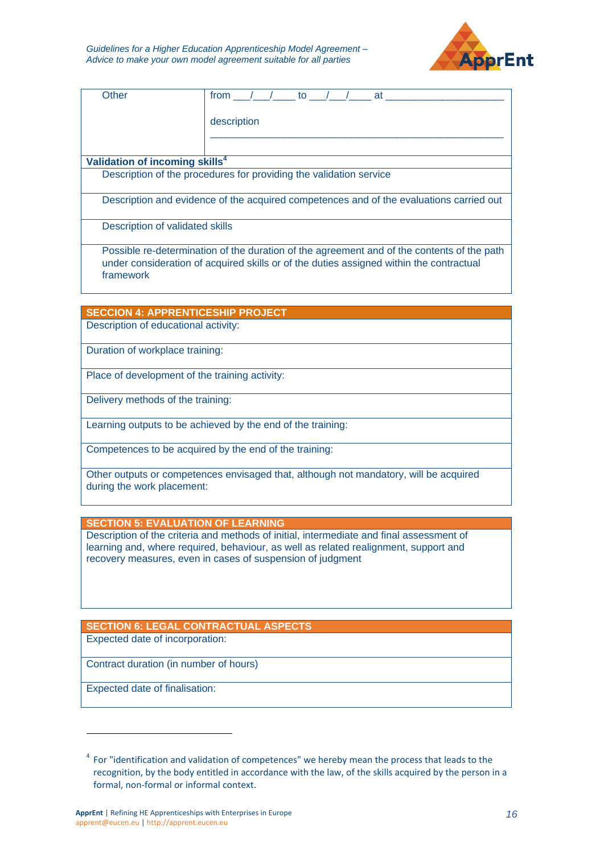

| Other                                                                                      | from $/$ $/$ to $/$ $/$ at |  |  |  |
|--------------------------------------------------------------------------------------------|----------------------------|--|--|--|
|                                                                                            |                            |  |  |  |
|                                                                                            | description                |  |  |  |
|                                                                                            |                            |  |  |  |
|                                                                                            |                            |  |  |  |
| Validation of incoming skills <sup>4</sup>                                                 |                            |  |  |  |
| Description of the procedures for providing the validation service                         |                            |  |  |  |
|                                                                                            |                            |  |  |  |
| Description and evidence of the acquired competences and of the evaluations carried out    |                            |  |  |  |
|                                                                                            |                            |  |  |  |
| Description of validated skills                                                            |                            |  |  |  |
|                                                                                            |                            |  |  |  |
| Possible re-determination of the duration of the agreement and of the contents of the path |                            |  |  |  |
| under consideration of acquired skills or of the duties assigned within the contractual    |                            |  |  |  |
| framework                                                                                  |                            |  |  |  |
|                                                                                            |                            |  |  |  |
|                                                                                            |                            |  |  |  |
| <b>SECCION 4: APPRENTICESHIP PROJECT</b>                                                   |                            |  |  |  |
| Description of educational activity:                                                       |                            |  |  |  |
|                                                                                            |                            |  |  |  |

Duration of workplace training:

Place of development of the training activity:

Delivery methods of the training:

Learning outputs to be achieved by the end of the training:

Competences to be acquired by the end of the training:

Other outputs or competences envisaged that, although not mandatory, will be acquired during the work placement:

**SECTION 5: EVALUATION OF LEARNING**

Description of the criteria and methods of initial, intermediate and final assessment of learning and, where required, behaviour, as well as related realignment, support and recovery measures, even in cases of suspension of judgment

**SECTION 6: LEGAL CONTRACTUAL ASPECTS**

Expected date of incorporation:

Contract duration (in number of hours)

Expected date of finalisation:

 $\overline{a}$ 

<sup>&</sup>lt;sup>4</sup> For "identification and validation of competences" we hereby mean the process that leads to the recognition, by the body entitled in accordance with the law, of the skills acquired by the person in a formal, non-formal or informal context.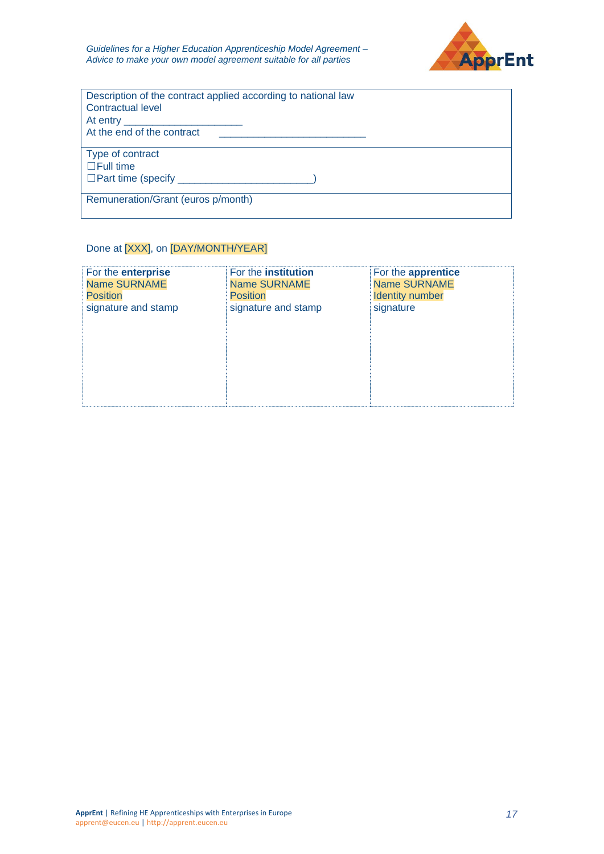

| Description of the contract applied according to national law<br><b>Contractual level</b><br>At entry __________ |
|------------------------------------------------------------------------------------------------------------------|
| At the end of the contract                                                                                       |
| Type of contract<br>$\Box$ Full time<br>□ Part time (specify <u>____________________</u>                         |
| Remuneration/Grant (euros p/month)                                                                               |

## Done at [XXX], on [DAY/MONTH/YEAR]

| For the enterprise  | For the institution | For the apprentice     |
|---------------------|---------------------|------------------------|
| <b>Name SURNAME</b> | <b>Name SURNAME</b> | <b>Name SURNAME</b>    |
| <b>Position</b>     | <b>Position</b>     | <b>Identity number</b> |
| signature and stamp | signature and stamp | signature              |